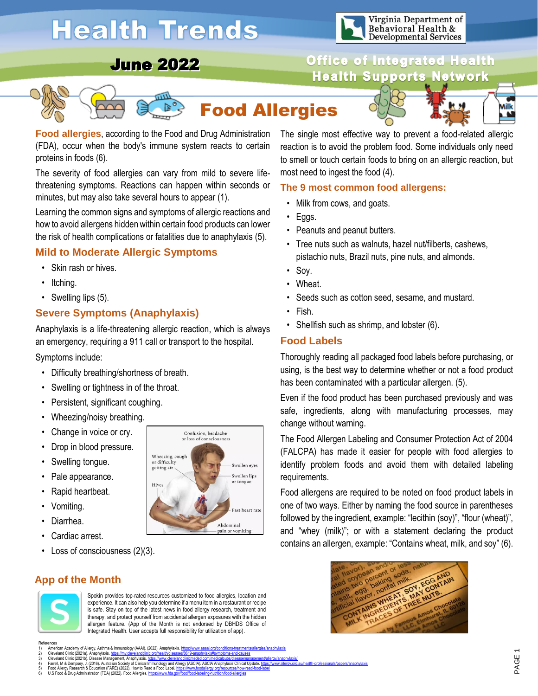# **Health Trends**



**Office of Integrated Health** 

## June 2022







Ailk M

**Food allergies**, according to the Food and Drug Administration (FDA), occur when the body's immune system reacts to certain proteins in foods (6).

The severity of food allergies can vary from mild to severe lifethreatening symptoms. Reactions can happen within seconds or minutes, but may also take several hours to appear (1).

Learning the common signs and symptoms of allergic reactions and how to avoid allergens hidden within certain food products can lower the risk of health complications or fatalities due to anaphylaxis (5).

#### **Mild to Moderate Allergic Symptoms**

- Skin rash or hives.
- Itching.
- Swelling lips (5).

#### **Severe Symptoms (Anaphylaxis)**

Anaphylaxis is a life-threatening allergic reaction, which is always an emergency, requiring a 911 call or transport to the hospital.

Symptoms include:

- Difficulty breathing/shortness of breath.
- Swelling or tightness in of the throat.
- Persistent, significant coughing.
- Wheezing/noisy breathing.
- Change in voice or cry.
- Drop in blood pressure.
- Swelling tongue.
- Pale appearance.
- Rapid heartbeat.
- Vomiting.
- Diarrhea.
- Cardiac arrest.
- Loss of consciousness (2)(3).

#### **App of the Month**



Spokin provides top-rated resources customized to food allergies, location and experience. It can also help you determine if a menu item in a restaurant or recipe is safe. Stay on top of the latest news in food allergy research, treatment and therapy, and protect yourself from accidental allergen exposures with the hidden allergen feature. (App of the Month is not endorsed by DBHDS Office of Integrated Health. User accepts full responsibility for utilization of app).

American Academy of Allergy, Asthma & Immunology (AAAI). (2022). Anaphylaxis. https: 1) American Academy of Allergy, Asthma & Immunology (AAAI), (2022). Anaphylaxis. <u>https://www.asaai.org/conditions-treatments/allergies/anaphylaxis</u><br>2) Cleveland Clinic (2021a). Anaphylaxis.<u>https://my.develanddinic.org/he</u>



The single most effective way to prevent a food-related allergic reaction is to avoid the problem food. Some individuals only need to smell or touch certain foods to bring on an allergic reaction, but most need to ingest the food (4).

#### **The 9 most common food allergens:**

- Milk from cows, and goats.
- Eggs.
- Peanuts and peanut butters.
- Tree nuts such as walnuts, hazel nut/filberts, cashews, pistachio nuts, Brazil nuts, pine nuts, and almonds.
- Soy.
- Wheat.
- Seeds such as cotton seed, sesame, and mustard.
- Fish.
- Shellfish such as shrimp, and lobster (6).

#### **Food Labels**

Thoroughly reading all packaged food labels before purchasing, or using, is the best way to determine whether or not a food product has been contaminated with a particular allergen. (5).

Even if the food product has been purchased previously and was safe, ingredients, along with manufacturing processes, may change without warning.

The Food Allergen Labeling and Consumer Protection Act of 2004 (FALCPA) has made it easier for people with food allergies to identify problem foods and avoid them with detailed labeling requirements.

Food allergens are required to be noted on food product labels in one of two ways. Either by naming the food source in parentheses followed by the ingredient, example: "lecithin (soy)", "flour (wheat)", and "whey (milk)"; or with a statement declaring the product contains an allergen, example: "Contains wheat, milk, and soy" (6).